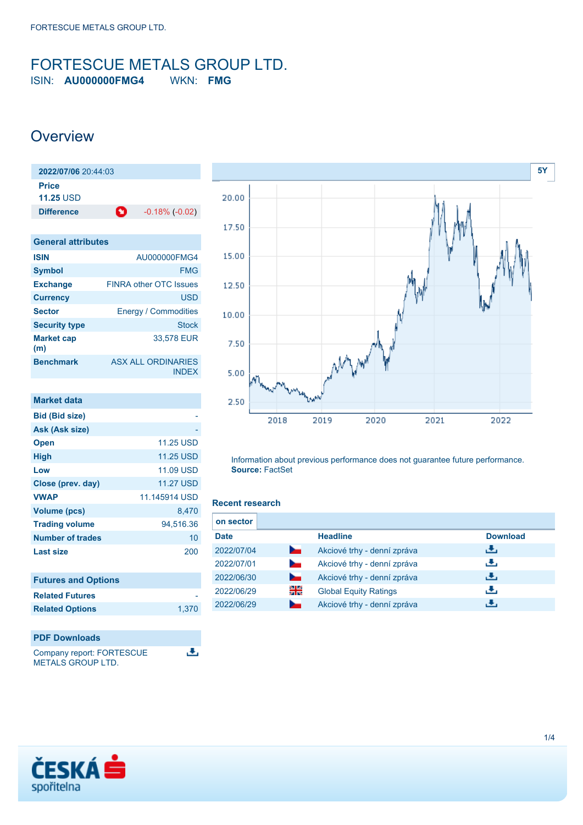### <span id="page-0-0"></span>FORTESCUE METALS GROUP LTD. ISIN: **AU000000FMG4** WKN: **FMG**

### **Overview**

| 2022/07/06 20:44:03       |   |                       |
|---------------------------|---|-----------------------|
| Price<br><b>11.25 USD</b> |   |                       |
| <b>Difference</b>         | O | $-0.18\%$ ( $-0.02$ ) |

| <b>General attributes</b> |                                           |
|---------------------------|-------------------------------------------|
| <b>ISIN</b>               | AU000000FMG4                              |
| <b>Symbol</b>             | <b>FMG</b>                                |
| <b>Exchange</b>           | <b>FINRA other OTC Issues</b>             |
| <b>Currency</b>           | <b>USD</b>                                |
| <b>Sector</b>             | <b>Energy / Commodities</b>               |
| <b>Security type</b>      | <b>Stock</b>                              |
| <b>Market cap</b><br>(m)  | 33,578 EUR                                |
| <b>Benchmark</b>          | <b>ASX ALL ORDINARIES</b><br><b>INDEX</b> |

| <b>Market data</b>         |                  |
|----------------------------|------------------|
| <b>Bid (Bid size)</b>      |                  |
| Ask (Ask size)             |                  |
| <b>Open</b>                | <b>11.25 USD</b> |
| <b>High</b>                | <b>11.25 USD</b> |
| Low                        | <b>11.09 USD</b> |
| Close (prev. day)          | <b>11.27 USD</b> |
| <b>VWAP</b>                | 11.145914 USD    |
| <b>Volume (pcs)</b>        | 8,470            |
| <b>Trading volume</b>      | 94,516.36        |
| Number of trades           | 10               |
| <b>Last size</b>           | 200              |
| <b>Futures and Options</b> |                  |
| <b>Related Futures</b>     |                  |

**Related Options** [1,370](https://cz.products.erstegroup.com/Retail/en/Dispatcher/SearchDispatcher/Market/option/index.phtml?ID_INSTRUMENT_CLASS_OPTION=53951036,154760281)



Company report: FORTESCUE METALS GROUP LTD.



Information about previous performance does not guarantee future performance. **Source:** FactSet

### **Recent research**

遇

| on sector   |                 |                              |                 |
|-------------|-----------------|------------------------------|-----------------|
| <b>Date</b> |                 | <b>Headline</b>              | <b>Download</b> |
| 2022/07/04  | h.              | Akciové trhy - denní zpráva  | رنان            |
| 2022/07/01  | $\sim$          | Akciové trhy - denní zpráva  | رنان            |
| 2022/06/30  | <b>Service</b>  | Akciové trhy - denní zpráva  | رنان            |
| 2022/06/29  | 읡               | <b>Global Equity Ratings</b> | رنان            |
| 2022/06/29  | <b>Contract</b> | Akciové trhy - denní zpráva  | æ,              |

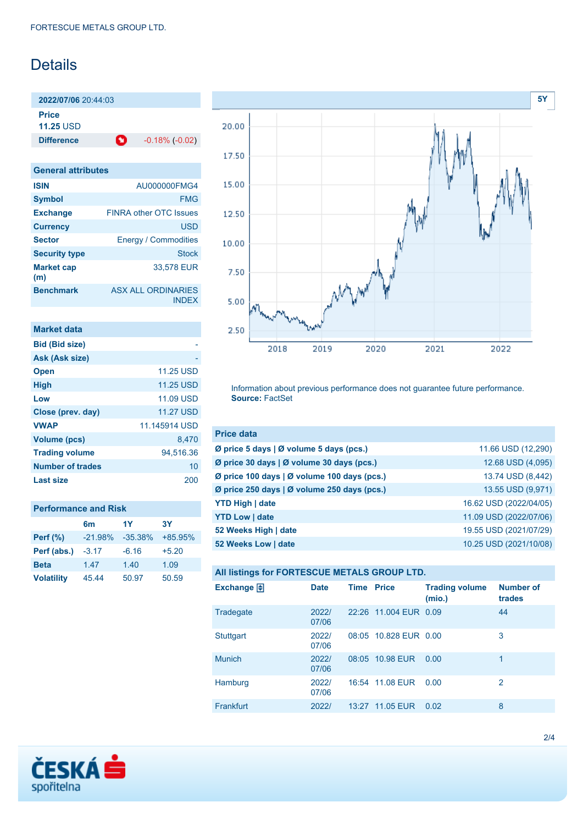# Details

**2022/07/06** 20:44:03 **Price**

**11.25** USD

**Difference 1** -0.18% (-0.02)

**General attributes ISIN** AU000000FMG4 **Symbol** FMG **Exchange** FINRA other OTC Issues **Currency** USD **Sector** Energy / Commodities **Security type Stock Stock Market cap (m)** 33,578 EUR **Benchmark** ASX ALL ORDINARIES INDEX

| <b>Market data</b>      |                  |
|-------------------------|------------------|
| <b>Bid (Bid size)</b>   |                  |
| Ask (Ask size)          |                  |
| <b>Open</b>             | <b>11.25 USD</b> |
| <b>High</b>             | <b>11.25 USD</b> |
| Low                     | 11.09 USD        |
| Close (prev. day)       | <b>11.27 USD</b> |
| <b>VWAP</b>             | 11.145914 USD    |
| Volume (pcs)            | 8.470            |
| <b>Trading volume</b>   | 94.516.36        |
| <b>Number of trades</b> | 10               |
| Last size               | 200              |

| <b>Performance and Risk</b> |                |            |           |  |
|-----------------------------|----------------|------------|-----------|--|
|                             | 6 <sub>m</sub> | 1Y         | 3Υ        |  |
| <b>Perf</b> (%)             | $-21.98%$      | $-35.38\%$ | $+85.95%$ |  |
| Perf (abs.)                 | $-3.17$        | $-6.16$    | $+5.20$   |  |
| <b>Beta</b>                 | 1.47           | 1.40       | 1.09      |  |
| <b>Volatility</b>           | 45.44          | 50.97      | 50.59     |  |



Information about previous performance does not guarantee future performance. **Source:** FactSet

| <b>Price data</b>                                         |                        |
|-----------------------------------------------------------|------------------------|
| $\emptyset$ price 5 days $\emptyset$ volume 5 days (pcs.) | 11.66 USD (12,290)     |
| Ø price 30 days   Ø volume 30 days (pcs.)                 | 12.68 USD (4,095)      |
| Ø price 100 days   Ø volume 100 days (pcs.)               | 13.74 USD (8,442)      |
| Ø price 250 days   Ø volume 250 days (pcs.)               | 13.55 USD (9,971)      |
| <b>YTD High   date</b>                                    | 16.62 USD (2022/04/05) |
| <b>YTD Low   date</b>                                     | 11.09 USD (2022/07/06) |
| 52 Weeks High   date                                      | 19.55 USD (2021/07/29) |
| 52 Weeks Low   date                                       | 10.25 USD (2021/10/08) |

| All listings for FORTESCUE METALS GROUP LTD. |                |                   |                       |                                 |                            |
|----------------------------------------------|----------------|-------------------|-----------------------|---------------------------------|----------------------------|
| Exchange $\bigoplus$                         | <b>Date</b>    | <b>Time Price</b> |                       | <b>Trading volume</b><br>(mio.) | <b>Number of</b><br>trades |
| Tradegate                                    | 2022/<br>07/06 |                   | 22:26 11.004 EUR 0.09 |                                 | 44                         |
| <b>Stuttgart</b>                             | 2022/<br>07/06 |                   | 08:05 10.828 EUR 0.00 |                                 | 3                          |
| <b>Munich</b>                                | 2022/<br>07/06 |                   | 08:05 10.98 EUR       | 0.00                            |                            |

[Frankfurt](https://cz.products.erstegroup.com/Retail/en/Dispatcher/FactsheetDispatcher/index.phtml?ID_NOTATION=10876351) 2022/ 13:27 11.05 EUR 0.02 8

16:54 11.08 EUR 0.00 2

[Hamburg](https://cz.products.erstegroup.com/Retail/en/Dispatcher/FactsheetDispatcher/index.phtml?ID_NOTATION=116061521) 2022/

07/06

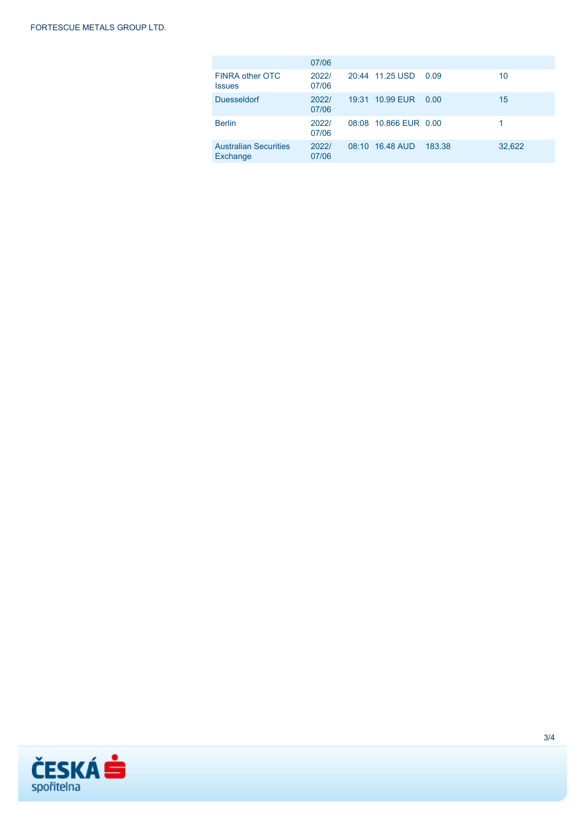|                                          | 07/06          |                       |        |        |
|------------------------------------------|----------------|-----------------------|--------|--------|
| FINRA other OTC<br><b>Issues</b>         | 2022/<br>07/06 | 20:44 11.25 USD       | 0.09   | 10     |
| <b>Duesseldorf</b>                       | 2022/<br>07/06 | 19:31 10.99 EUR       | 0.00   | 15     |
| <b>Berlin</b>                            | 2022/<br>07/06 | 08:08 10.866 EUR 0.00 |        |        |
| <b>Australian Securities</b><br>Exchange | 2022/<br>07/06 | 08:10 16.48 AUD       | 183.38 | 32,622 |